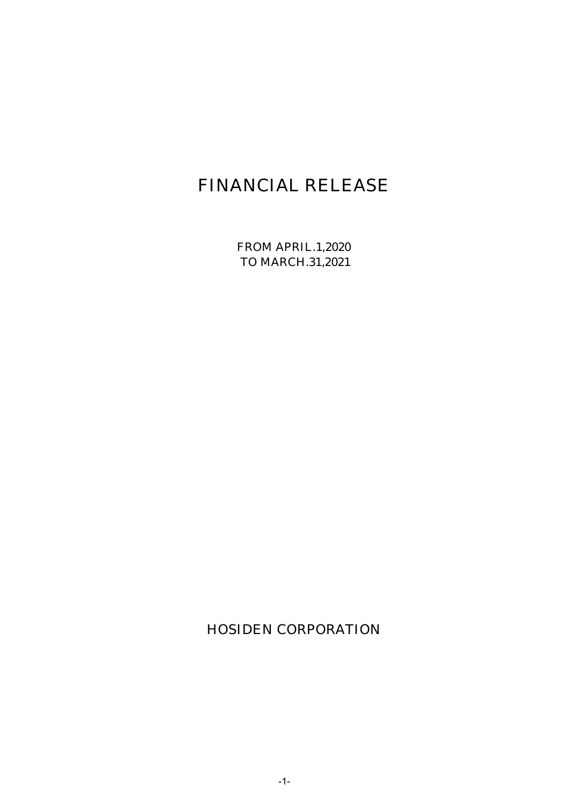# FINANCIAL RELEASE

FROM APRIL.1,2020 TO MARCH.31,2021

HOSIDEN CORPORATION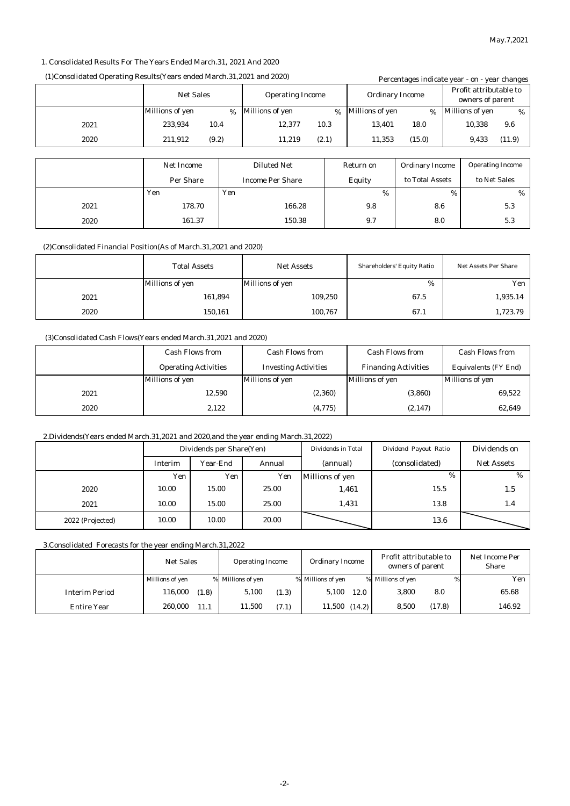#### 1. Consolidated Results For The Years Ended March.31, 2021 And 2020

#### (1)Consolidated Operating Results(Years ended March.31,2021 and 2020) Percentages indicate year - on - year changes

|      |                                             |      |                         |                        |                        | Percentages murcate year - on - year changes |      |                         |        |
|------|---------------------------------------------|------|-------------------------|------------------------|------------------------|----------------------------------------------|------|-------------------------|--------|
|      | <b>Net Sales</b><br><b>Operating Income</b> |      |                         | <b>Ordinary Income</b> |                        | Profit attributable to<br>owners of parent   |      |                         |        |
|      | <b>Millions of yen</b>                      | $\%$ | <b>Millions of yen</b>  | $\%$                   | <b>Millions of yen</b> | %                                            |      | <b>Millions of yen</b>  | %      |
| 2021 | 233,934<br>10.4                             |      | 12,377                  | 10.3                   | 13,401                 | 18.0                                         |      | 10,338                  | 9.6    |
| 2020 | (9.2)<br>211,912                            |      | 11,219                  | (2.1)                  | 11,353                 | (15.0)                                       |      | 9,433                   | (11.9) |
|      |                                             |      |                         |                        |                        |                                              |      |                         |        |
|      | <b>Net Income</b>                           |      | <b>Diluted Net</b>      |                        | Return on              | <b>Ordinary Income</b>                       |      | <b>Operating Income</b> |        |
|      | Per Share                                   |      | <b>Income Per Share</b> |                        | Equity                 | to Total Assets                              |      | to Net Sales            |        |
|      | Yen                                         | Yen  |                         |                        | %                      |                                              | $\%$ |                         | %      |
| 2021 | 178.70                                      |      | 166.28                  |                        | 9.8                    | 8.6                                          |      |                         | 5.3    |
| 2020 | 161.37                                      |      | 150.38                  |                        | 9.7                    | 8.0                                          |      |                         | 5.3    |

(2)Consolidated Financial Position(As of March.31,2021 and 2020)

|      | <b>Total Assets</b><br><b>Net Assets</b> |                 | <b>Shareholders' Equity Ratio</b> | <b>Net Assets Per Share</b> |
|------|------------------------------------------|-----------------|-----------------------------------|-----------------------------|
|      | Millions of yen                          | Millions of yen | %                                 | Yen                         |
| 2021 | 161,894                                  | 109,250         | 67.5                              | 1,935.14                    |
| 2020 | 150,161                                  | 100,767         | 67.1                              | 1,723.79                    |

#### (3)Consolidated Cash Flows(Years ended March.31,2021 and 2020)

|      | <b>Cash Flows from</b>      | <b>Cash Flows from</b>      |                             | <b>Cash Flows from</b>      |
|------|-----------------------------|-----------------------------|-----------------------------|-----------------------------|
|      | <b>Operating Activities</b> | <b>Investing Activities</b> | <b>Financing Activities</b> | <b>Equivalents (FY End)</b> |
|      | Millions of yen             | Millions of yen             | Millions of yen             | <b>Millions of yen</b>      |
| 2021 | 12,590                      | (2,360)                     | (3,860)                     | 69,522                      |
| 2020 | 2.122                       | (4,775)                     | (2, 147)                    | 62,649                      |

#### 2.Dividends(Years ended March.31,2021 and 2020,and the year ending March.31,2022)

|                  | Dividends per Share(Yen) |                 | Dividends in Total | Dividend Payout Ratio | Dividends on   |                   |
|------------------|--------------------------|-----------------|--------------------|-----------------------|----------------|-------------------|
|                  | Interim                  | <b>Year-End</b> | Annual             | (annual)              | (consolidated) | <b>Net Assets</b> |
|                  | Yen                      | Yen             | Yen                | Millions of yen       | %              | %                 |
| 2020             | 10.00                    | 15.00           | 25.00              | 1,461                 | 15.5           | 1.5               |
| 2021             | 10.00                    | 15.00           | 25.00              | 1,431                 | 13.8           | 1.4               |
| 2022 (Projected) | 10.00                    | 10.00           | 20.00              |                       | 13.6           |                   |

3.Consolidated Forecasts for the year ending March.31,2022

|                       | <b>Net Sales</b> | <b>Operating Income</b> | Ordinary Income   | Profit attributable to<br>owners of parent | Net Income Per<br><b>Share</b> |
|-----------------------|------------------|-------------------------|-------------------|--------------------------------------------|--------------------------------|
|                       | Millions of yen  | % Millions of yen       | % Millions of yen | % Millions of yen<br>%                     | Yen                            |
| <b>Interim Period</b> | 116,000<br>(1.8) | 5,100<br>(1.3)          | 5.100<br>12.0     | 3.800<br>8.0                               | 65.68                          |
| <b>Entire Year</b>    | 260.000<br>11.1  | 11.500<br>(7.1)         | $11,500$ $(14.2)$ | (17.8)<br>8.500                            | 146.92                         |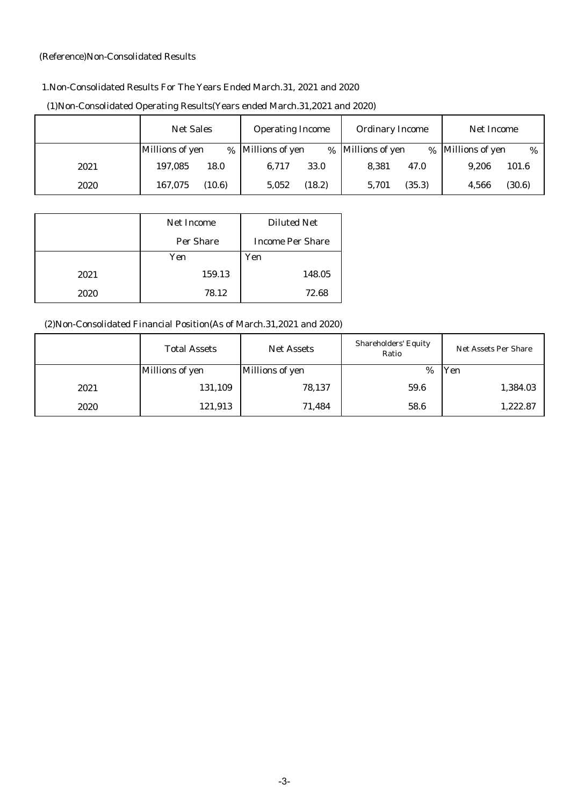#### (Reference)Non-Consolidated Results

## 1.Non-Consolidated Results For The Years Ended March.31, 2021 and 2020

|      | <b>Net Sales</b> | <b>Operating Income</b> | <b>Ordinary Income</b>    | Net Income                     |
|------|------------------|-------------------------|---------------------------|--------------------------------|
|      | Millions of yen  | % Millions of yen       | % Millions of yen<br>$\%$ | <b>Millions of yen</b><br>$\%$ |
| 2021 | 197,085          | 6,717                   | 8.381                     | 9,206                          |
|      | 18.0             | 33.0                    | 47.0                      | 101.6                          |
| 2020 | 167.075          | (18.2)                  | (35.3)                    | (30.6)                         |
|      | (10.6)           | 5,052                   | 5,701                     | 4,566                          |

#### (1)Non-Consolidated Operating Results(Years ended March.31,2021 and 2020)

|      | <b>Net Income</b> | <b>Diluted Net</b>      |
|------|-------------------|-------------------------|
|      | <b>Per Share</b>  | <b>Income Per Share</b> |
|      | Yen               | Yen                     |
| 2021 | 159.13            | 148.05                  |
| 2020 | 78.12             | 72.68                   |

## (2)Non-Consolidated Financial Position(As of March.31,2021 and 2020)

|      | <b>Total Assets</b><br><b>Net Assets</b> |                 | <b>Shareholders' Equity</b><br>Ratio | <b>Net Assets Per Share</b> |
|------|------------------------------------------|-----------------|--------------------------------------|-----------------------------|
|      | <b>Millions of yen</b>                   | Millions of yen | $\%$                                 | Yen                         |
| 2021 | 131,109                                  | 78,137          | 59.6                                 | 1,384.03                    |
| 2020 | 121,913                                  | 71,484          | 58.6                                 | 1,222.87                    |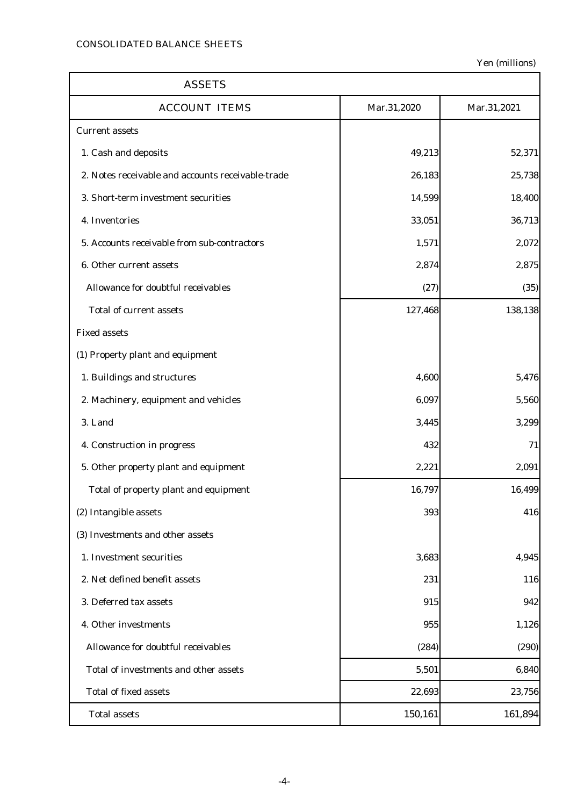| <b>ASSETS</b>                                     |             |             |  |  |
|---------------------------------------------------|-------------|-------------|--|--|
| <b>ACCOUNT ITEMS</b>                              | Mar.31,2020 | Mar.31,2021 |  |  |
| <b>Current assets</b>                             |             |             |  |  |
| 1. Cash and deposits                              | 49,213      | 52,371      |  |  |
| 2. Notes receivable and accounts receivable-trade | 26,183      | 25,738      |  |  |
| 3. Short-term investment securities               | 14,599      | 18,400      |  |  |
| 4. Inventories                                    | 33,051      | 36,713      |  |  |
| 5. Accounts receivable from sub-contractors       | 1,571       | 2,072       |  |  |
| 6. Other current assets                           | 2,874       | 2,875       |  |  |
| Allowance for doubtful receivables                | (27)        | (35)        |  |  |
| <b>Total of current assets</b>                    | 127,468     | 138,138     |  |  |
| <b>Fixed assets</b>                               |             |             |  |  |
| (1) Property plant and equipment                  |             |             |  |  |
| 1. Buildings and structures                       | 4,600       | 5,476       |  |  |
| 2. Machinery, equipment and vehicles              | 6,097       | 5,560       |  |  |
| 3. Land                                           | 3,445       | 3,299       |  |  |
| 4. Construction in progress                       | 432         | 71          |  |  |
| 5. Other property plant and equipment             | 2,221       | 2,091       |  |  |
| Total of property plant and equipment             | 16,797      | 16,499      |  |  |
| (2) Intangible assets                             | 393         | 416         |  |  |
| (3) Investments and other assets                  |             |             |  |  |
| 1. Investment securities                          | 3,683       | 4,945       |  |  |
| 2. Net defined benefit assets                     | 231         | 116         |  |  |
| 3. Deferred tax assets                            | 915         | 942         |  |  |
| 4. Other investments                              | 955         | 1,126       |  |  |
| Allowance for doubtful receivables                | (284)       | (290)       |  |  |
| Total of investments and other assets             | 5,501       | 6,840       |  |  |
| <b>Total of fixed assets</b>                      | 22,693      | 23,756      |  |  |
| <b>Total assets</b>                               | 150,161     | 161,894     |  |  |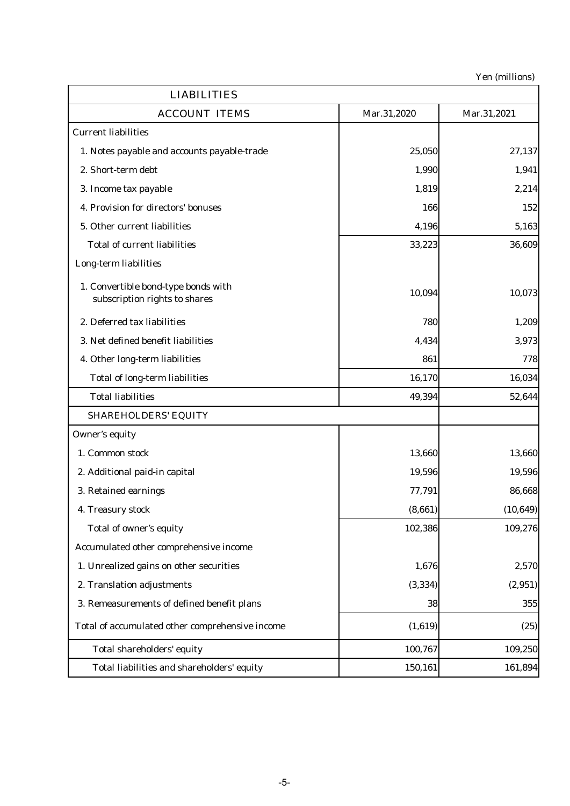| <b>LIABILITIES</b>                                                   |             |             |
|----------------------------------------------------------------------|-------------|-------------|
| <b>ACCOUNT ITEMS</b>                                                 | Mar.31,2020 | Mar.31,2021 |
| <b>Current liabilities</b>                                           |             |             |
| 1. Notes payable and accounts payable-trade                          | 25,050      | 27,137      |
| 2. Short-term debt                                                   | 1,990       | 1,941       |
| 3. Income tax payable                                                | 1,819       | 2,214       |
| 4. Provision for directors' bonuses                                  | 166         | 152         |
| 5. Other current liabilities                                         | 4,196       | 5,163       |
| <b>Total of current liabilities</b>                                  | 33,223      | 36,609      |
| Long-term liabilities                                                |             |             |
| 1. Convertible bond-type bonds with<br>subscription rights to shares | 10,094      | 10,073      |
| 2. Deferred tax liabilities                                          | 780         | 1,209       |
| 3. Net defined benefit liabilities                                   | 4,434       | 3,973       |
| 4. Other long-term liabilities                                       | 861         | 778         |
| <b>Total of long-term liabilities</b>                                | 16,170      | 16,034      |
| <b>Total liabilities</b>                                             | 49,394      | 52,644      |
| <b>SHAREHOLDERS' EQUITY</b>                                          |             |             |
| <b>Owner's equity</b>                                                |             |             |
| 1. Common stock                                                      | 13,660      | 13,660      |
| 2. Additional paid-in capital                                        | 19,596      | 19,596      |
| 3. Retained earnings                                                 | 77,791      | 86,668      |
| 4. Treasury stock                                                    | (8,661)     | (10, 649)   |
| Total of owner's equity                                              | 102,386     | 109,276     |
| Accumulated other comprehensive income                               |             |             |
| 1. Unrealized gains on other securities                              | 1,676       | 2,570       |
| 2. Translation adjustments                                           | (3, 334)    | (2,951)     |
| 3. Remeasurements of defined benefit plans                           | 38          | 355         |
| Total of accumulated other comprehensive income                      | (1,619)     | (25)        |
| Total shareholders' equity                                           | 100,767     | 109,250     |
| Total liabilities and shareholders' equity                           | 150,161     | 161,894     |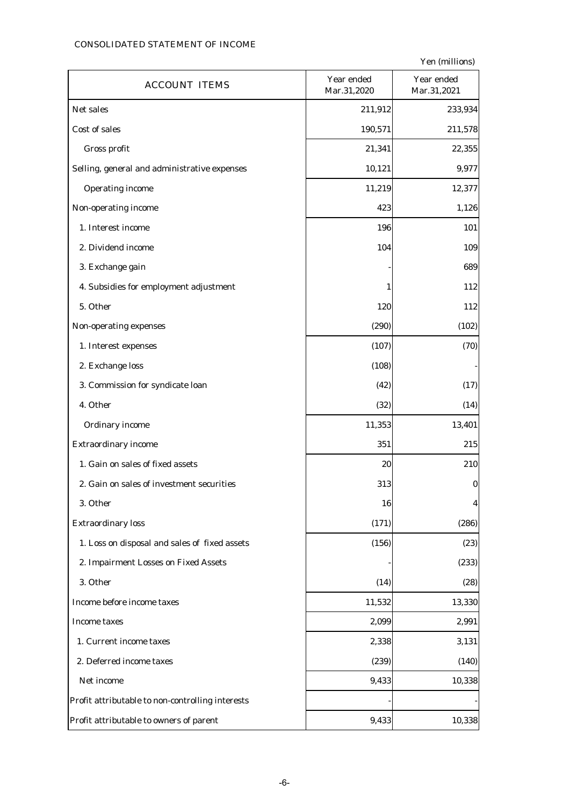## CONSOLIDATED STATEMENT OF INCOME

| <b>ACCOUNT ITEMS</b>                             | Year ended<br>Mar.31,2020 | Year ended<br>Mar.31,2021 |
|--------------------------------------------------|---------------------------|---------------------------|
| Net sales                                        | 211,912                   | 233,934                   |
| Cost of sales                                    | 190,571                   | 211,578                   |
| Gross profit                                     | 21,341                    | 22,355                    |
| Selling, general and administrative expenses     | 10,121                    | 9,977                     |
| <b>Operating income</b>                          | 11,219                    | 12,377                    |
| Non-operating income                             | 423                       | 1,126                     |
| 1. Interest income                               | 196                       | 101                       |
| 2. Dividend income                               | 104                       | 109                       |
| 3. Exchange gain                                 |                           | 689                       |
| 4. Subsidies for employment adjustment           | 1                         | 112                       |
| 5. Other                                         | 120                       | 112                       |
| Non-operating expenses                           | (290)                     | (102)                     |
| 1. Interest expenses                             | (107)                     | (70)                      |
| 2. Exchange loss                                 | (108)                     |                           |
| 3. Commission for syndicate loan                 | (42)                      | (17)                      |
| 4. Other                                         | (32)                      | (14)                      |
| <b>Ordinary income</b>                           | 11,353                    | 13,401                    |
| <b>Extraordinary income</b>                      | 351                       | 215                       |
| 1. Gain on sales of fixed assets                 | 20                        | 210                       |
| 2. Gain on sales of investment securities        | 313                       | $\bf{0}$                  |
| 3. Other                                         | 16                        | 4                         |
| <b>Extraordinary loss</b>                        | (171)                     | (286)                     |
| 1. Loss on disposal and sales of fixed assets    | (156)                     | (23)                      |
| 2. Impairment Losses on Fixed Assets             |                           | (233)                     |
| 3. Other                                         | (14)                      | (28)                      |
| Income before income taxes                       | 11,532                    | 13,330                    |
| <b>Income taxes</b>                              | 2,099                     | 2,991                     |
| 1. Current income taxes                          | 2,338                     | 3,131                     |
| 2. Deferred income taxes                         | (239)                     | (140)                     |
| Net income                                       | 9,433                     | 10,338                    |
| Profit attributable to non-controlling interests |                           |                           |
| Profit attributable to owners of parent          | 9,433                     | 10,338                    |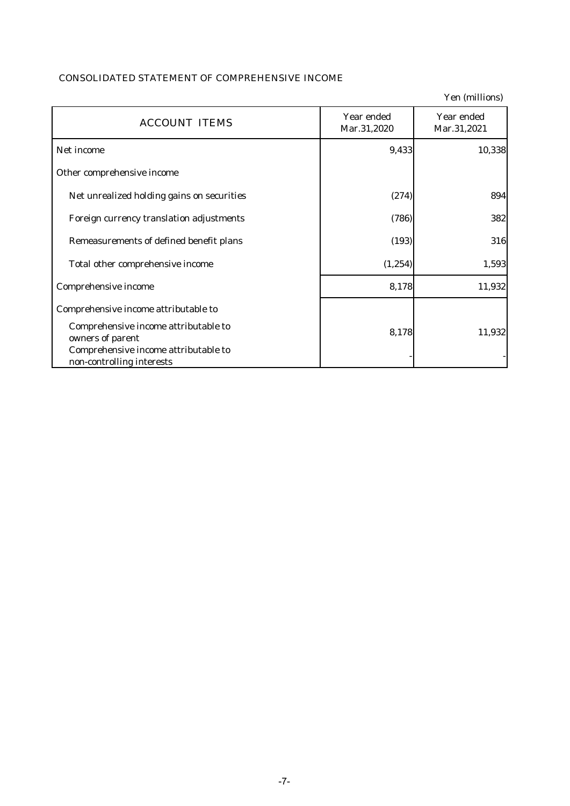## CONSOLIDATED STATEMENT OF COMPREHENSIVE INCOME

|                                                                                                                               |                           | Yen (millions)            |
|-------------------------------------------------------------------------------------------------------------------------------|---------------------------|---------------------------|
| <b>ACCOUNT ITEMS</b>                                                                                                          | Year ended<br>Mar.31,2020 | Year ended<br>Mar.31,2021 |
| Net income                                                                                                                    | 9,433                     | 10,338                    |
| Other comprehensive income                                                                                                    |                           |                           |
| Net unrealized holding gains on securities                                                                                    | (274)                     | 894                       |
| Foreign currency translation adjustments                                                                                      | (786)                     | 382                       |
| Remeasurements of defined benefit plans                                                                                       | (193)                     | 316                       |
| Total other comprehensive income                                                                                              | (1, 254)                  | 1,593                     |
| Comprehensive income                                                                                                          | 8,178                     | 11,932                    |
| Comprehensive income attributable to                                                                                          |                           |                           |
| Comprehensive income attributable to<br>owners of parent<br>Comprehensive income attributable to<br>non-controlling interests | 8,178                     | 11,932                    |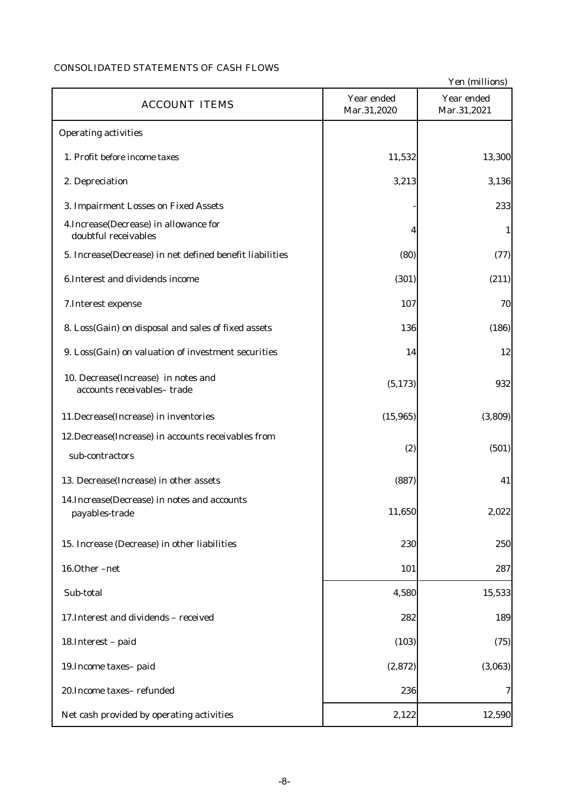## CONSOLIDATED STATEMENTS OF CASH FLOWS

|                                                                         |                           | Yen (millions)            |
|-------------------------------------------------------------------------|---------------------------|---------------------------|
| <b>ACCOUNT ITEMS</b>                                                    | Year ended<br>Mar.31,2020 | Year ended<br>Mar.31,2021 |
| <b>Operating activities</b>                                             |                           |                           |
| 1. Profit before income taxes                                           | 11,532                    | 13,300                    |
| 2. Depreciation                                                         | 3,213                     | 3,136                     |
| 3. Impairment Losses on Fixed Assets                                    |                           | 233                       |
| 4. Increase (Decrease) in allowance for<br>doubtful receivables         | 4                         | 1                         |
| 5. Increase(Decrease) in net defined benefit liabilities                | (80)                      | (77)                      |
| 6. Interest and dividends income                                        | (301)                     | (211)                     |
| 7. Interest expense                                                     | 107                       | 70                        |
| 8. Loss(Gain) on disposal and sales of fixed assets                     | 136                       | (186)                     |
| 9. Loss(Gain) on valuation of investment securities                     | 14                        | 12                        |
| 10. Decrease(Increase) in notes and<br>accounts receivables-trade       | (5, 173)                  | 932                       |
| 11.Decrease(Increase) in inventories                                    | (15, 965)                 | (3,809)                   |
| 12. Decrease (Increase) in accounts receivables from<br>sub-contractors | (2)                       | (501)                     |
| 13. Decrease(Increase) in other assets                                  | (887)                     | 41                        |
| 14. Increase (Decrease) in notes and accounts<br>payables-trade         | 11,650                    | 2,022                     |
| 15. Increase (Decrease) in other liabilities                            | 230                       | 250                       |
| 16.Other-net                                                            | 101                       | 287                       |
| Sub-total                                                               | 4,580                     | 15,533                    |
| 17. Interest and dividends - received                                   | 282                       | 189                       |
| 18. Interest - paid                                                     | (103)                     | (75)                      |
| 19. Income taxes-paid                                                   | (2, 872)                  | (3,063)                   |
| 20. Income taxes-refunded                                               | 236                       | 7                         |
| Net cash provided by operating activities                               | 2,122                     | 12,590                    |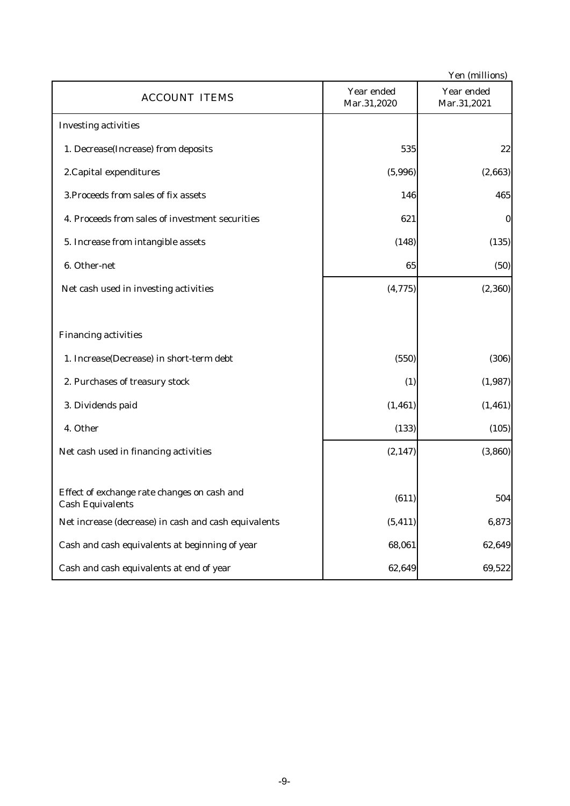|                                                                        |                           | Yen (millions)            |
|------------------------------------------------------------------------|---------------------------|---------------------------|
| <b>ACCOUNT ITEMS</b>                                                   | Year ended<br>Mar.31,2020 | Year ended<br>Mar.31,2021 |
| <b>Investing activities</b>                                            |                           |                           |
| 1. Decrease(Increase) from deposits                                    | 535                       | 22                        |
| 2. Capital expenditures                                                | (5,996)                   | (2,663)                   |
| 3. Proceeds from sales of fix assets                                   | 146                       | 465                       |
| 4. Proceeds from sales of investment securities                        | 621                       | $\bf{0}$                  |
| 5. Increase from intangible assets                                     | (148)                     | (135)                     |
| 6. Other-net                                                           | 65                        | (50)                      |
| Net cash used in investing activities                                  | (4, 775)                  | (2, 360)                  |
|                                                                        |                           |                           |
| <b>Financing activities</b>                                            |                           |                           |
| 1. Increase(Decrease) in short-term debt                               | (550)                     | (306)                     |
| 2. Purchases of treasury stock                                         | (1)                       | (1,987)                   |
| 3. Dividends paid                                                      | (1, 461)                  | (1, 461)                  |
| 4. Other                                                               | (133)                     | (105)                     |
| Net cash used in financing activities                                  | (2, 147)                  | (3,860)                   |
|                                                                        |                           |                           |
| Effect of exchange rate changes on cash and<br><b>Cash Equivalents</b> | (611)                     | 504                       |
| Net increase (decrease) in cash and cash equivalents                   | (5, 411)                  | 6,873                     |
| Cash and cash equivalents at beginning of year                         | 68,061                    | 62,649                    |
| Cash and cash equivalents at end of year                               | 62,649                    | 69,522                    |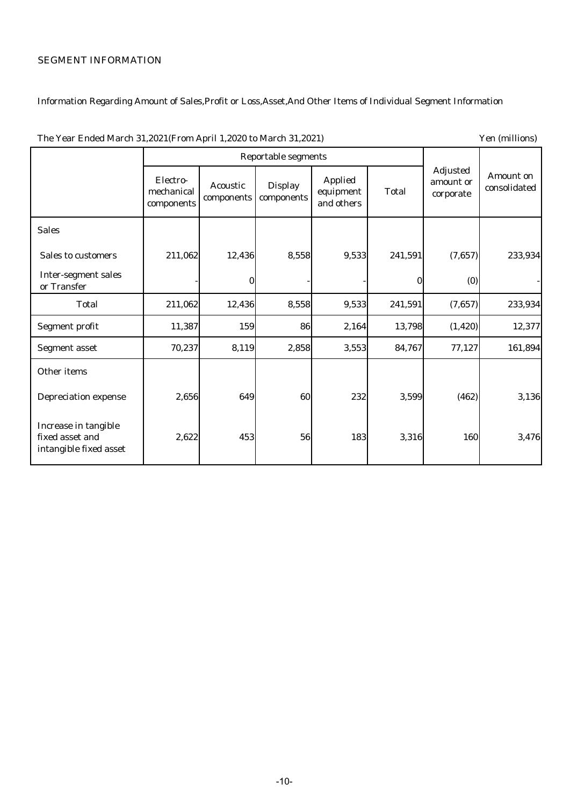# SEGMENT INFORMATION

## Information Regarding Amount of Sales,Profit or Loss,Asset,And Other Items of Individual Segment Information

|                                                                   | <b>Reportable segments</b>           |                               |                              |                                           |              |                                           |                           |
|-------------------------------------------------------------------|--------------------------------------|-------------------------------|------------------------------|-------------------------------------------|--------------|-------------------------------------------|---------------------------|
|                                                                   | Electro-<br>mechanical<br>components | <b>Acoustic</b><br>components | <b>Display</b><br>components | <b>Applied</b><br>equipment<br>and others | <b>Total</b> | <b>Adjusted</b><br>amount or<br>corporate | Amount on<br>consolidated |
| <b>Sales</b>                                                      |                                      |                               |                              |                                           |              |                                           |                           |
| <b>Sales to customers</b>                                         | 211,062                              | 12,436                        | 8,558                        | 9,533                                     | 241,591      | (7,657)                                   | 233,934                   |
| <b>Inter-segment sales</b><br>or Transfer                         |                                      | 0                             |                              |                                           | 0            | (0)                                       |                           |
| <b>Total</b>                                                      | 211,062                              | 12,436                        | 8,558                        | 9,533                                     | 241,591      | (7,657)                                   | 233,934                   |
| <b>Segment profit</b>                                             | 11,387                               | 159                           | 86                           | 2,164                                     | 13,798       | (1, 420)                                  | 12,377                    |
| <b>Segment asset</b>                                              | 70,237                               | 8,119                         | 2,858                        | 3,553                                     | 84,767       | 77,127                                    | 161,894                   |
| Other items                                                       |                                      |                               |                              |                                           |              |                                           |                           |
| <b>Depreciation expense</b>                                       | 2,656                                | 649                           | 60                           | 232                                       | 3,599        | (462)                                     | 3,136                     |
| Increase in tangible<br>fixed asset and<br>intangible fixed asset | 2,622                                | 453                           | 56                           | 183                                       | 3,316        | 160                                       | 3,476                     |

#### The Year Ended March 31,2021(From April 1,2020 to March 31,2021) Yen (millions)